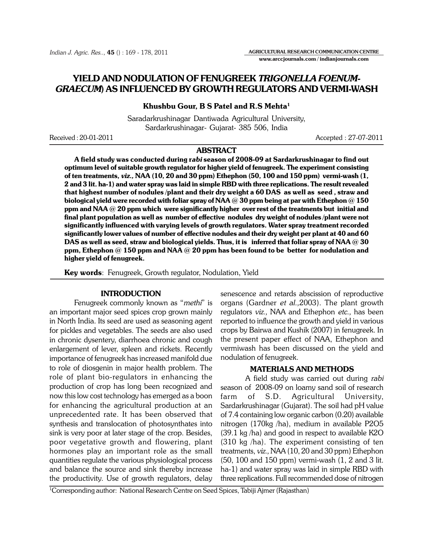Indian J. Agric. Res.., 45 () : 169 - 178, 2011

# YIELD AND NODULATION OF FENUGREEK TRIGONELLA FOENUM-GRAECUM) AS INFLUENCED BY GROWTH REGULATORS AND VERMI-WASH

## Khushbu Gour, B S Patel and R.S Mehta<sup>1</sup>

Saradarkrushinagar Dantiwada Agricultural University, Sardarkrushinagar- Gujarat- 385 506, India

Received : 20-01-2011 Accepted : 27-07-2011

AGRICULTURAL RESEARCH COMMUNICATION CENTRE www.arccjournals.com / indianjournals.com

# ABSTRACT

A field study was conducted during rabi season of 2008-09 at Sardarkrushinagar to find out optimum level of suitable growth regulator for higher yield of fenugreek. The experiment consisting of ten treatments, viz., NAA (10, 20 and 30 ppm) Ethephon (50, 100 and 150 ppm) vermi-wash (1, 2 and 3 lit. ha-1) and water spray was laid in simple RBD with three replications. The result revealed that highest number of nodules /plant and their dry weight a 60 DAS as well as seed , straw and biological yield were recorded with foliar spray of NAA  $@$  30 ppm being at par with Ethephon  $@$  150 ppm and NAA  $@$  20 ppm which were significantly higher over rest of the treatments but initial and final plant population as well as number of effective nodules dry weight of nodules /plant were not significantly influenced with varying levels of growth regulators. Water spray treatment recorded significantly lower values of number of effective nodules and their dry weight per plant at 40 and 60 DAS as well as seed, straw and biological yields. Thus, it is  $\,$  inferred that foliar spray of NAA  $\varpi$  30  $\,$ ppm, Ethephon  $@$  150 ppm and NAA  $@$  20 ppm has been found to be  $\:$  better  $\:$  for nodulation and higher yield of fenugreek.

Key words: Fenugreek, Growth regulator, Nodulation, Yield

### INTRODUCTION

Fenugreek commonly known as "*methi*" is an important major seed spices crop grown mainly in North India. Its seed are used as seasoning agent for pickles and vegetables. The seeds are also used in chronic dysentery, diarrhoea chronic and cough enlargement of lever, spleen and rickets. Recently importance of fenugreek has increased manifold due to role of diosgenin in major health problem. The role of plant bio-regulators in enhancing the production of crop has long been recognized and now this low cost technology has emerged as a boon for enhancing the agricultural production at an unprecedented rate. It has been observed that synthesis and translocation of photosynthates into sink is very poor at later stage of the crop. Besides, poor vegetative growth and flowering, plant hormones play an important role as the small quantities regulate the various physiological process and balance the source and sink thereby increase the productivity. Use of growth regulators, delay senescence and retards abscission of reproductive organs (Gardner et al.,2003). The plant growth regulators viz., NAA and Ethephon etc., has been reported to influence the growth and yield in various crops by Bairwa and Kushik (2007) in fenugreek. In the present paper effect of NAA, Ethephon and vermiwash has been discussed on the yield and nodulation of fenugreek.

#### MATERIALS AND METHODS

A field study was carried out during rabi season of 2008-09 on loamy sand soil of research farm of S.D. Agricultural University, Sardarkrushinagar (Gujarat). The soil had pH value of 7.4 containing low organic carbon (0.20) available nitrogen (170kg /ha), medium in available P2O5 (39.1 kg /ha) and good in respect to available K2O (310 kg /ha). The experiment consisting of ten treatments, viz., NAA (10, 20 and 30 ppm) Ethephon (50, 100 and 150 ppm) vermi-wash (1, 2 and 3 lit. ha-1) and water spray was laid in simple RBD with three replications. Full recommended dose of nitrogen

1 Corresponding author: National Research Centre on Seed Spices, Tabiji Ajmer (Rajasthan)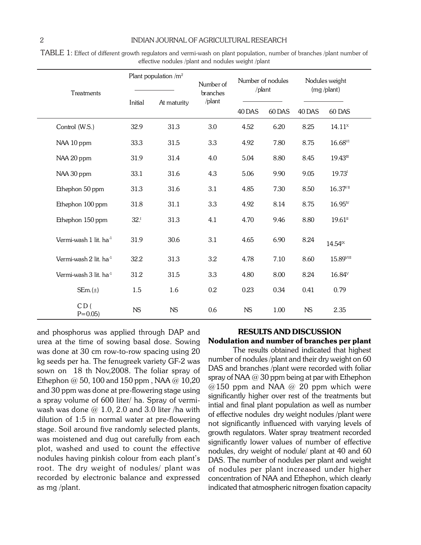| Treatments                         | Plant population $/m^2$ |             | Number of          | Number of nodules<br>/plant |        | Nodules weight<br>$(mg$ /plant) |                       |
|------------------------------------|-------------------------|-------------|--------------------|-----------------------------|--------|---------------------------------|-----------------------|
|                                    | Initial                 | At maturity | branches<br>/plant |                             |        |                                 |                       |
|                                    |                         |             |                    | 40 DAS                      | 60 DAS | 40 DAS                          | 60 DAS                |
| Control (W.S.)                     | 32.9                    | 31.3        | 3.0                | 4.52                        | 6.20   | 8.25                            | $14.11^x$             |
| NAA 10 ppm                         | 33.3                    | 31.5        | 3.3                | 4.92                        | 7.80   | 8.75                            | $16.68^{VI}$          |
| NAA 20 ppm                         | 31.9                    | 31.4        | 4.0                | 5.04                        | 8.80   | 8.45                            | 19.43 !!!             |
| NAA 30 ppm                         | 33.1                    | 31.6        | 4.3                | 5.06                        | 9.90   | 9.05                            | 19.73 <sup>1</sup>    |
| Ethephon 50 ppm                    | 31.3                    | 31.6        | 3.1                | 4.85                        | 7.30   | 8.50                            | $16.37$ <sup>II</sup> |
| Ethephon 100 ppm                   | 31.8                    | 31.1        | 3.3                | 4.92                        | 8.14   | 8.75                            | $16.95^{N}$           |
| Ethephon 150 ppm                   | 32.1                    | 31.3        | 4.1                | 4.70                        | 9.46   | 8.80                            | $19.61$ <sup>II</sup> |
| Vermi-wash 1 lit. ha <sup>-1</sup> | 31.9                    | 30.6        | 3.1                | 4.65                        | 6.90   | 8.24                            | 14.54 <sup>IX</sup>   |
| Vermi-wash 2 lit. ha <sup>-1</sup> | 32.2                    | 31.3        | 3.2                | 4.78                        | 7.10   | 8.60                            | 15.89VIII             |
| Vermi-wash 3 lit. ha <sup>-1</sup> | 31.2                    | 31.5        | 3.3                | 4.80                        | 8.00   | 8.24                            | $16.84^v$             |
| $SEm.(\pm)$                        | 1.5                     | 1.6         | 0.2                | 0.23                        | 0.34   | 0.41                            | 0.79                  |
| CD(<br>$P = 0.05$                  | <b>NS</b>               | <b>NS</b>   | 0.6                | <b>NS</b>                   | 1.00   | <b>NS</b>                       | 2.35                  |

TABLE 1: Effect of different growth regulators and vermi-wash on plant population, number of branches /plant number of effective nodules /plant and nodules weight /plant

and phosphorus was applied through DAP and urea at the time of sowing basal dose. Sowing was done at 30 cm row-to-row spacing using 20 kg seeds per ha. The fenugreek variety GF-2 was sown on 18 th Nov,2008. The foliar spray of Ethephon  $@$  50, 100 and 150 ppm, NAA  $@$  10,20 and 30 ppm was done at pre-flowering stage using a spray volume of 600 liter/ ha. Spray of vermiwash was done  $@1.0$ , 2.0 and 3.0 liter /ha with dilution of 1:5 in normal water at pre-flowering stage. Soil around five randomly selected plants, was moistened and dug out carefully from each plot, washed and used to count the effective nodules having pinkish colour from each plant's root. The dry weight of nodules/ plant was recorded by electronic balance and expressed as mg /plant.

# RESULTS AND DISCUSSION Nodulation and number of branches per plant

The results obtained indicated that highest number of nodules /plant and their dry weight on 60 DAS and branches /plant were recorded with foliar spray of NAA  $@$  30 ppm being at par with Ethephon  $@150$  ppm and NAA  $@20$  ppm which were significantly higher over rest of the treatments but intial and final plant population as well as number of effective nodules dry weight nodules /plant were not significantly influenced with varying levels of growth regulators. Water spray treatment recorded significantly lower values of number of effective nodules, dry weight of nodule/ plant at 40 and 60 DAS. The number of nodules per plant and weight of nodules per plant increased under higher concentration of NAA and Ethephon, which clearly indicated that atmospheric nitrogen fixation capacity